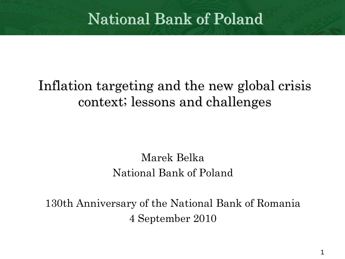# National Bank of Poland

## Inflation targeting and the new global crisis context; lessons and challenges

Marek BelkaNational Bank of Poland

130th Anniversary of the National Bank of Romania 4 September 2010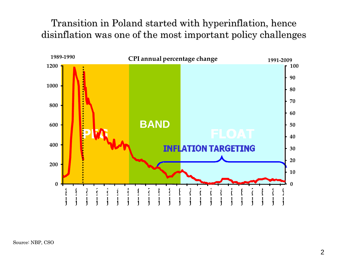Transition in Poland started with hyperinflation, hence disinflation was one of the most important policy challenges

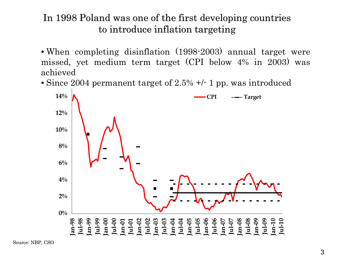#### In 1998 Poland was one of the first developing countries to introduce inflation targeting

- When completing disinflation (1998-2003) annual target were missed, yet medium term target (CPI below 4% in 2003) was achieved
- Since 2004 permanent target of 2.5% +/- 1 pp. was introduced

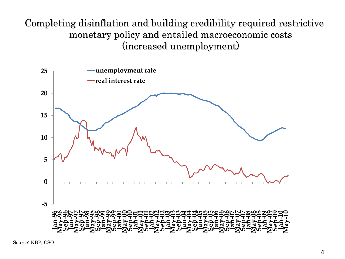Completing disinflation and building credibility required restrictive monetary policy and entailed macroeconomic costs (increased unemployment) (increased unemployment)



Source: NBP, CSO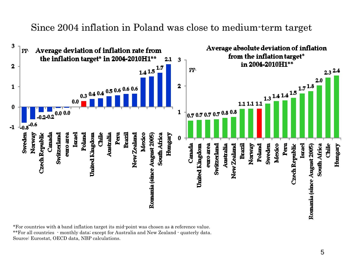#### Since 2004 inflation in Poland was close to medium-term target



\*For countries with a band inflation target its mid-point was chosen as a reference value. \*\*For all countries - monthly data; except for Australia and New Zealand - quaterly data. Source: Eurostat, OECD data, NBP calculations.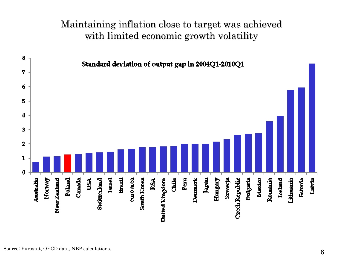#### Maintaining inflation close to target was achieved with limited economic growth volatility

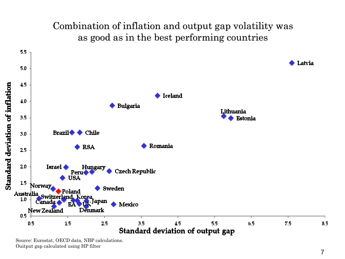#### Combination of inflation and output gap volatility was as good as in the best performing countries



Source: Eurostat, OECD data, NBP calculations. Ouitput gap calculated using HP filter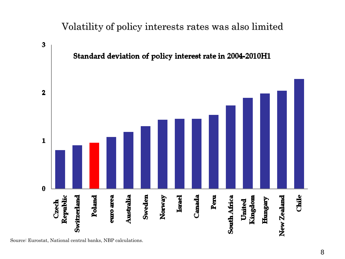#### Volatility of policy interests rates was also limited



Source: Eurostat, National central banks, NBP calculations.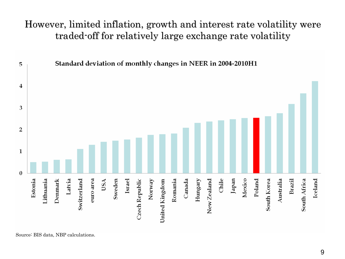However, limited inflation, growth and interest rate volatility were traded-off for relatively large exchange rate volatility



Source: BIS data, NBP calculations.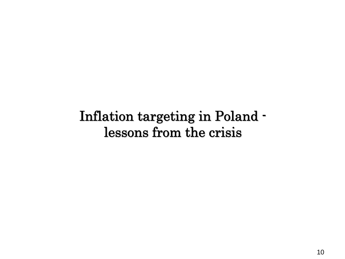### Inflation targeting in Poland lessons from the crisis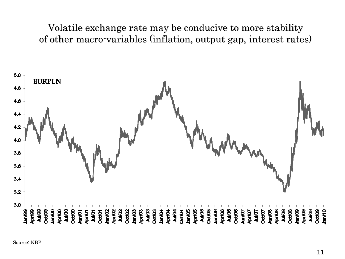Volatile exchange rate may be conducive to more stability of other macro-variables (inflation, output gap, interest rates)

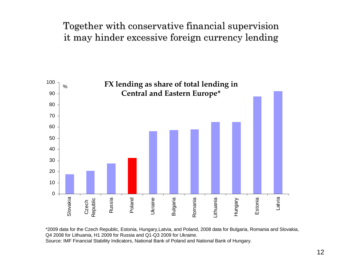#### Together with conservative financial supervision it may hinder excessive foreign currency lending



\*2009 data for the Czech Republic, Estonia, Hungary,Latvia, and Poland, 2008 data for Bulgaria, Romania and Slovakia, Q4 2008 for Lithuania, H1 2009 for Russia and Q1-Q3 2009 for Ukraine. Source: IMF Financial Stability Indicators, National Bank of Poland and National Bank of Hungary.